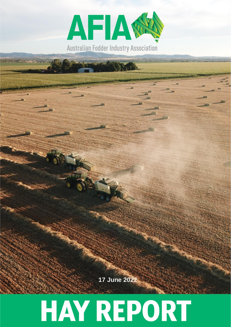

**2317July 2021 June 2022**

# **HAY REPORT**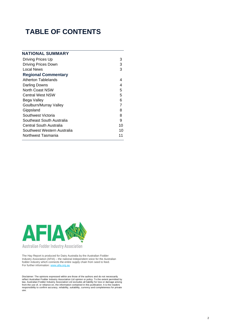# **TABLE OF CONTENTS**

| NATIONAL SUMMARY            |    |
|-----------------------------|----|
| Driving Prices Up           | 3  |
| <b>Driving Prices Down</b>  | 3  |
| Local News                  | 3  |
| <b>Regional Commentary</b>  |    |
| Atherton Tablelands         | 4  |
| Darling Downs               | 4  |
| North Coast NSW             | 5  |
| <b>Central West NSW</b>     | 5  |
| Bega Valley                 | 6  |
| Goulburn/Murray Valley      | 7  |
| Gippsland                   | 8  |
| Southwest Victoria          | 8  |
| Southeast South Australia   | 9  |
| Central South Australia     | 10 |
| Southwest Western Australia | 10 |
| Northwest Tasmania          | 11 |
|                             |    |



The Hay Report is produced for Dairy Australia by the Australian Fodder Industry Association (AFIA) – the national independent voice for the Australian fodder industry which connects the entire supply chain from seed to feed. For further information[: www.afia.org.au](https://www.afia.org.au/)

Disclaimer: The opinions expressed within are those of the authors and do not necessarily<br>reflect Australian Fodder Industry Association Ltd opinion or policy. To the extent permitted by<br>law, Australian Fodder Industry Ass responsibility to confirm accuracy, reliability, suitability, currency and completeness for private use.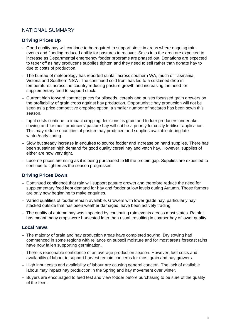# NATIONAL SUMMARY

# **Driving Prices Up**

- Good quality hay will continue to be required to support stock in areas where ongoing rain events and flooding reduced ability for pastures to recover. Sales into the area are expected to increase as Departmental emergency fodder programs are phased out. Donations are expected to taper off as hay producer's supplies tighten and they need to sell rather than donate hay to due to costs of production.
- The bureau of meteorology has reported rainfall across southern WA, much of Tasmania, Victoria and Southern NSW. The continued cold front has led to a sustained drop in temperatures across the country reducing pasture growth and increasing the need for supplementary feed to support stock.
- Current high forward contract prices for oilseeds, cereals and pulses focussed grain growers on the profitability of grain crops against hay production. Opportunistic hay production will not be seen as a price competitive cropping option, a smaller number of hectares has been sown this season.
- Input costs continue to impact cropping decisions as grain and fodder producers undertake sowing and for most producers' pasture hay will not be a priority for costly fertiliser application. This may reduce quantities of pasture hay produced and supplies available during late winter/early spring.
- Slow but steady increase in enquires to source fodder and increase on hand supplies. There has been sustained high demand for good quality cereal hay and vetch hay. However, supplies of either are now very tight.
- Lucerne prices are rising as it is being purchased to fill the protein gap. Supplies are expected to continue to tighten as the season progresses.

#### **Driving Prices Down**

- Continued confidence that rain will support pasture growth and therefore reduce the need for supplementary feed kept demand for hay and fodder at low levels during Autumn. Those farmers are only now beginning to make enquiries.
- Varied qualities of fodder remain available. Growers with lower grade hay, particularly hay stacked outside that has been weather damaged, have been actively trading.
- The quality of autumn hay was impacted by continuing rain events across most states. Rainfall has meant many crops were harvested later than usual, resulting in coarser hay of lower quality.

#### **Local News**

- The majority of grain and hay production areas have completed sowing. Dry sowing had commenced in some regions with reliance on subsoil moisture and for most areas forecast rains have now fallen supporting germination.
- There is reasonable confidence of an average production season. However, fuel costs and availability of labour to support harvest remain concerns for most grain and hay growers.
- High input costs and availability of labour are causing general concern. The lack of available labour may impact hay production in the Spring and hay movement over winter.
- Buyers are encouraged to feed test and view fodder before purchasing to be sure of the quality of the feed.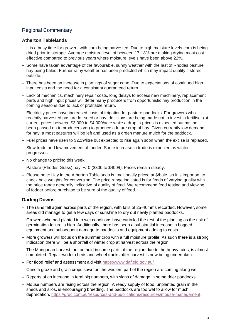# Regional Commentary

# **Atherton Tablelands**

- It is a busy time for growers with corn being harvested. Due to high moisture levels corn is being dried prior to storage. Average moisture level of between 17-18% are making drying most cost effective compared to previous years where moisture levels have been above 22%.
- Some have taken advantage of the favourable, sunny weather with the last of Rhodes pasture hay being baled. Further rainy weather has been predicted which may impact quality if stored outside.
- There has been an increase in plantings of sugar cane. Due to expectations of continued high input costs and the need for a consistent guaranteed return.
- Lack of mechanics, machinery repair costs, long delays to access new machinery, replacement parts and high input prices will deter many producers from opportunistic hay production in the coming seasons due to lack of profitable return.
- Electricity prices have increased costs of irrigation for pasture paddocks. For growers who recently harvested pasture for seed or hay, decisions are being made not to invest in fertiliser (at current prices between \$3,000 to \$4,000/acre while a drop in prices is expected but has not been passed on to producers yet) to produce a future crop of hay. Given currently low demand for hay, a most pastures will be left and used as a green manure mulch for the paddock.
- Fuel prices have risen to \$2.19/litre but expected to rise again soon when the excise is replaced.
- Slow trade and low movement of fodder. Some increase in trade is expected as winter progresses.
- No change to pricing this week.
- Pasture (Rhodes Grass) hay: +/-0 (\$300 to \$400/t). Prices remain steady.
- Please note: Hay in the Atherton Tablelands is traditionally priced at \$/bale, so it is important to check bale weights for conversion. The price range indicated is for feeds of varying quality with the price range generally indicative of quality of feed. We recommend feed testing and viewing of fodder before purchase to be sure of the quality of feed.

# **Darling Downs**

- The rains fell again across parts of the region, with falls of 25-40mms recorded. However, some areas did manage to get a few days of sunshine to dry out newly planted paddocks.
- Growers who had planted into wet conditions have curtailed the rest of the planting as the risk of germination failure is high. Additionally, there has been a substantial increase in bogged equipment and subsequent damage to paddocks and equipment adding to costs.
- More growers will focus on the summer crop with a full moisture profile. As such there is a strong indication there will be a shortfall of winter crop at harvest across the region.
- The Mungbean harvest, put on hold in some parts of the region due to the heavy rains, is almost completed. Repair work to beds and wheel tracks after harvest is now being undertaken.
- For flood relief and assessment aid visit<https://www.daf.qld.gov.au/>
- Canola graze and grain crops sown on the western part of the region are coming along well.
- Reports of an increase in feral pig numbers, with signs of damage in some drier paddocks.
- Mouse numbers are rising across the region. A ready supply of food, unplanted grain in the sheds and silos, is encouraging breeding. The paddocks are too wet to allow for much depredation. [https://grdc.com.au/resources-and-publications/resources/mouse-management.](https://grdc.com.au/resources-and-publications/resources/mouse-management)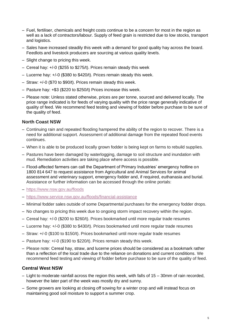- Fuel, fertiliser, chemicals and freight costs continue to be a concern for most in the region as well as a lack of contractors/labour. Supply of feed grain is restricted due to low stocks, transport and logistics.
- Sales have increased steadily this week with a demand for good quality hay across the board. Feedlots and livestock producers are sourcing at various quality levels.
- Slight change to pricing this week.
- Cereal hay: +/-0 (\$255 to \$275/t). Prices remain steady this week
- Lucerne hay: +/-0 (\$380 to \$420/t). Prices remain steady this week.
- Straw: +/-0 (\$70 to \$90/t). Prices remain steady this week.
- Pasture hay: +\$3 (\$220 to \$250/t) Prices increase this week.
- Please note: Unless stated otherwise, prices are per tonne, sourced and delivered locally. The price range indicated is for feeds of varying quality with the price range generally indicative of quality of feed. We recommend feed testing and viewing of fodder before purchase to be sure of the quality of feed.

#### **North Coast NSW**

- Continuing rain and repeated flooding hampered the ability of the region to recover. There is a need for additional support. Assessment of additional damage from the repeated flood events continues.
- When it is able to be produced locally grown fodder is being kept on farms to rebuild supplies.
- Pastures have been damaged by waterlogging, damage to soil structure and inundation with mud. Remediation activities are taking place where access is possible.
- Flood-affected farmers can call the Department of Primary Industries' emergency hotline on 1800 814 647 to request assistance from Agricultural and Animal Services for animal assessment and veterinary support, emergency fodder and, if required, euthanasia and burial. Assistance or further information can be accessed through the online portals:
- <https://www.nsw.gov.au/floods>
- <https://www.service.nsw.gov.au/floods/financial-assistance>
- Minimal fodder sales outside of some Departmental purchases for the emergency fodder drops.
- No changes to pricing this week due to ongoing storm impact recovery within the region.
- Cereal hay: +/-0 (\$200 to \$260/t). Prices bookmarked until more regular trade resumes
- Lucerne hay: +/-0 (\$380 to \$430/t). Prices bookmarked until more regular trade resumes
- Straw: +/-0 (\$100 to \$150/t). Prices bookmarked until more regular trade resumes
- Pasture hay: +/-0 (\$190 to \$220/t). Prices remain steady this week.
- Please note: Cereal hay, straw, and lucerne prices should be considered as a bookmark rather than a reflection of the local trade due to the reliance on donations and current conditions. We recommend feed testing and viewing of fodder before purchase to be sure of the quality of feed.

#### **Central West NSW**

- Light to moderate rainfall across the region this week, with falls of 15 30mm of rain recorded, however the later part of the week was mostly dry and sunny.
- Some growers are looking at closing off sowing for a winter crop and will instead focus on maintaining good soil moisture to support a summer crop.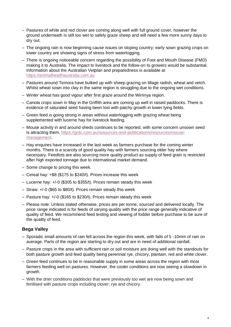- Pastures of white and red clover are coming along well with full ground cover, however the ground underneath is still too wet to safely graze sheep and will need a few more sunny days to dry out.
- The ongoing rain is now beginning cause issues on sloping country; early sown grazing crops on lower country are showing signs of stress from waterlogging.
- There is ongoing noticeable concern regarding the possibility of Foot and Mouth Disease (FMD) making it to Australia. The impact to livestock and the follow-on to growers would be substantial. Information about the Australian Vetplan and preparedness is available at [https://animalhealthaustralia.com.au](https://animalhealthaustralia.com.au/)
- Pastures around Temora have bulked up with sheep grazing on tillage radish, wheat and vetch. Whilst wheat sown into clay in the same region is struggling due to the ongoing wet conditions.
- Winter wheat has good vigour after first graze around the Wirrinya region.
- Canola crops sown in May in the Griffith area are coming up well in raised paddocks. There is evidence of saturated seed having been lost with patchy growth in lower lying fields.
- Green feed is going strong in areas without waterlogging with grazing wheat being supplemented with lucerne hay for livestock feeding*.*
- Mouse activity in and around sheds continues to be reported, with some concern unsown seed is attracting them. [https://grdc.com.au/resources-and-publications/resources/mouse](https://grdc.com.au/resources-and-publications/resources/mouse-management)[management.](https://grdc.com.au/resources-and-publications/resources/mouse-management)
- Hay enquires have increased in the last week as farmers purchase for the coming winter months. There is a scarcity of good quality hay with farmers sourcing older hay where necessary. Feedlots are also sourcing more quality product as supply of feed grain is restricted after high exported tonnage due to international market demand.
- Some change to pricing this week.
- Cereal hay: +\$8 (\$175 to \$240/t). Prices increase this week
- Lucerne hay: +/-0 (\$305 to \$355/t). Prices remain steady this week
- Straw: +/-0 (\$65 to \$80/t). Prices remain steady this week
- Pasture hay: +/-0 (\$165 to \$230/t). Prices remain steady this week
- Please note: Unless stated otherwise, prices are per tonne, sourced and delivered locally. The price range indicated is for feeds of varying quality with the price range generally indicative of quality of feed. We recommend feed testing and viewing of fodder before purchase to be sure of the quality of feed*.*

#### **Bega Valley**

- Sporadic small amounts of rain fell across the region this week, with falls of 5 -10mm of rain on average. Parts of the region are starting to dry out and are in need of additional rainfall.
- Pasture crops in the area with sufficient rain or soil moisture are doing well with the standouts for both pasture growth and feed quality being perennial rye, chicory, plantain, red and white clover.
- Green feed continues to be in reasonable supply in some areas across the region with most farmers feeding well on pastures. However, the cooler conditions are now seeing a slowdown in growth.
- With the drier conditions paddocks that were previously too wet are now being sown and fertilised with pasture crops including clover, rye and chicory.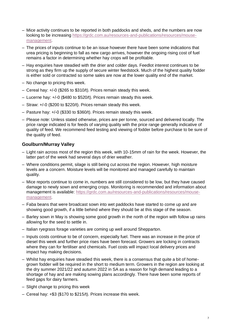- Mice activity continues to be reported in both paddocks and sheds, and the numbers are now looking to be increasing [https://grdc.com.au/resources-and-publications/resources/mouse](https://grdc.com.au/resources-and-publications/resources/mouse-management)[management.](https://grdc.com.au/resources-and-publications/resources/mouse-management)
- The prices of inputs continue to be an issue however there have been some indications that urea pricing is beginning to fall as new cargo arrives, however the ongoing rising cost of fuel remains a factor in determining whether hay crops will be profitable.
- Hay enquiries have steadied with the drier and colder days. Feedlot interest continues to be strong as they firm up the supply of secure winter feedstock. Much of the highest quality fodder is either sold or contracted so some sales are now at the lower quality end of the market.
- No change to pricing this week.
- Cereal hay: +/-0 (\$265 to \$310/t). Prices remain steady this week.
- Lucerne hay: +/-0 (\$480 to \$520/t). Prices remain steady this week.
- Straw: +/-0 (\$200 to \$220/t). Prices remain steady this week.
- Pasture hay: +/-0 (\$330 to \$360/t). Prices remain steady this week.
- Please note: Unless stated otherwise, prices are per tonne, sourced and delivered locally. The price range indicated is for feeds of varying quality with the price range generally indicative of quality of feed. We recommend feed testing and viewing of fodder before purchase to be sure of the quality of feed.

# **Goulburn/Murray Valley**

- Light rain across most of the region this week, with 10-15mm of rain for the week. However, the latter part of the week had several days of drier weather.
- Where conditions permit, silage is still being cut across the region. However, high moisture levels are a concern. Moisture levels will be monitored and managed carefully to maintain quality.
- Mice reports continue to come in, numbers are still considered to be low, but they have caused damage to newly sown and emerging crops. Monitoring is recommended and information about management is available: [https://grdc.com.au/resources-and-publications/resources/mouse](https://grdc.com.au/resources-and-publications/resources/mouse-management)[management.](https://grdc.com.au/resources-and-publications/resources/mouse-management)
- Faba beans that were broadcast sown into wet paddocks have started to come up and are showing good growth, if a little behind where they should be at this stage of the season.
- Barley sown in May is showing some good growth in the north of the region with follow up rains allowing for the seed to settle in.
- Italian ryegrass forage varieties are coming up well around Shepparton.
- Inputs costs continue to be of concern, especially fuel. There was an increase in the price of diesel this week and further price rises have been forecast. Growers are locking in contracts where they can for fertiliser and chemicals. Fuel costs will impact local delivery prices and impact hay making decisions.
- Whilst hay enquiries have steadied this week, there is a consensus that quite a bit of homegrown fodder will be required in the short to medium term. Growers in the region are looking at the dry summer 2021/22 and autumn 2022 in SA as a reason for high demand leading to a shortage of hay and are making sowing plans accordingly. There have been some reports of feed gaps for dairy farmers.
- Slight change to pricing this week
- Cereal hay: +\$3 (\$170 to \$215/t). Prices increase this week.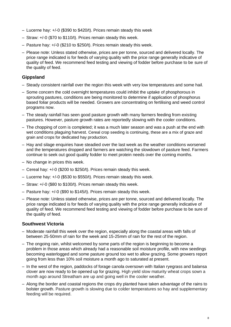- Lucerne hay: +/-0 (\$390 to \$420/t). Prices remain steady this week
- Straw: +/-0 (\$70 to \$110/t). Prices remain steady this week.
- Pasture hay: +/-0 (\$210 to \$250/t). Prices remain steady this week.
- Please note: Unless stated otherwise, prices are per tonne, sourced and delivered locally. The price range indicated is for feeds of varying quality with the price range generally indicative of quality of feed. We recommend feed testing and viewing of fodder before purchase to be sure of the quality of feed.

# **Gippsland**

- Steady consistent rainfall over the region this week with very low temperatures and some hail.
- Some concern the cold overnight temperatures could inhibit the uptake of phosphorous in sprouting pastures, conditions are being monitored to determine if application of phosphorus based foliar products will be needed. Growers are concentrating on fertilising and weed control programs now.
- The steady rainfall has seen good pasture growth with many farmers feeding from existing pastures. However, pasture growth rates are reportedly slowing with the cooler conditions.
- The chopping of corn is completed; it was a much later season and was a push at the end with wet conditions plaguing harvest. Cereal crop seeding is continuing, these are a mix of graze and grain and crops for dedicated hay production.
- Hay and silage enquiries have steadied over the last week as the weather conditions worsened and the temperatures dropped and farmers are watching the slowdown of pasture feed. Farmers continue to seek out good quality fodder to meet protein needs over the coming months.
- No change in prices this week.
- Cereal hay: +/-0 (\$200 to \$250/t). Prices remain steady this week.
- Lucerne hay: +/-0 (\$530 to \$550/t). Prices remain steady this week.
- Straw: +/-0 (\$80 to \$100/t). Prices remain steady this week.
- Pasture hay: +/-0 (\$90 to \$145/t). Prices remain steady this week.
- Please note: Unless stated otherwise, prices are per tonne, sourced and delivered locally. The price range indicated is for feeds of varying quality with the price range generally indicative of quality of feed. We recommend feed testing and viewing of fodder before purchase to be sure of the quality of feed*.*

#### **Southwest Victoria**

- Moderate rainfall this week over the region, especially along the coastal areas with falls of between 25-50mm of rain for the week and 15-25mm of rain for the rest of the region.
- The ongoing rain, whilst welcomed by some parts of the region is beginning to become a problem in those areas which already had a reasonable soil moisture profile, with new seedings becoming waterlogged and some pasture ground too wet to allow grazing. Some growers report going from less than 10% soil moisture a month ago to saturated at present.
- In the west of the region, paddocks of forage canola oversown with Italian ryegrass and balansa clover are now ready to be opened up for grazing. High yield slow maturity wheat crops sown a month ago around Streatham are up and going well in the cooler weather.
- Along the border and coastal regions the crops dry planted have taken advantage of the rains to bolster growth. Pasture growth is slowing due to colder temperatures so hay and supplementary feeding will be required.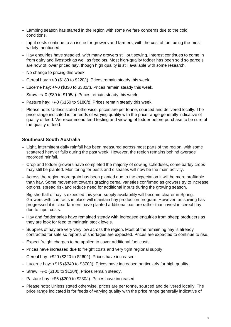- Lambing season has started in the region with some welfare concerns due to the cold conditions.
- Input costs continue to an issue for growers and farmers, with the cost of fuel being the most widely mentioned.
- Hay enquiries have steadied, with many growers still out sowing. Interest continues to come in from dairy and livestock as well as feedlots. Most high-quality fodder has been sold so parcels are now of lower priced hay, though high quality is still available with some research.
- No change to pricing this week.
- Cereal hay: +/-0 (\$180 to \$220/t). Prices remain steady this week.
- Lucerne hay: +/-0 (\$330 to \$380/t). Prices remain steady this week.
- Straw: +/-0 (\$80 to \$105/t). Prices remain steady this week.
- Pasture hay: +/-0 (\$150 to \$180/t). Prices remain steady this week.
- Please note: Unless stated otherwise, prices are per tonne, sourced and delivered locally. The price range indicated is for feeds of varying quality with the price range generally indicative of quality of feed. We recommend feed testing and viewing of fodder before purchase to be sure of the quality of feed.

#### **Southeast South Australia**

- Light, intermittent daily rainfall has been measured across most parts of the region, with some scattered heavier falls during the past week. However, the region remains behind average recorded rainfall.
- Crop and fodder growers have completed the majority of sowing schedules, come barley crops may still be planted. Monitoring for pests and diseases will now be the main activity.
- Across the region more grain has been planted due to the expectation it will be more profitable than hay. Some movement towards grazing cereal varieties confirmed as growers try to increase options, spread risk and reduce need for additional inputs during the growing season.
- Big shortfall of hay is expected this year, supply availability will become clearer in Spring. Growers with contracts in place will maintain hay production program. However, as sowing has progressed it is clear farmers have planted additional pasture rather than invest in cereal hay due to input costs.
- Hay and fodder sales have remained steady with increased enquiries from sheep producers as they are look for feed to maintain stock levels.
- Supplies of hay are very very low across the region. Most of the remaining hay is already contracted for sale so reports of shortages are expected. Prices are expected to continue to rise.
- Expect freight charges to be applied to cover additional fuel costs.
- Prices have increased due to freight costs and very tight regional supply.
- Cereal hay: +\$20 (\$220 to \$260/t). Prices have increased.
- Lucerne hay: +\$15 (\$340 to \$370/t). Prices have increased particularly for high quality.
- Straw: +/-0 (\$100 to \$120/t). Prices remain steady.
- Pasture hay: +\$5 (\$200 to \$230/t). Prices have increased
- Please note: Unless stated otherwise, prices are per tonne, sourced and delivered locally. The price range indicated is for feeds of varying quality with the price range generally indicative of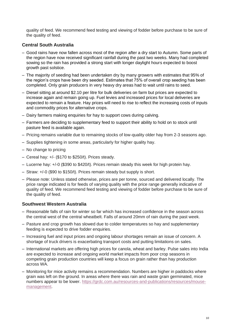quality of feed. We recommend feed testing and viewing of fodder before purchase to be sure of the quality of feed.

## **Central South Australia**

- Good rains have now fallen across most of the region after a dry start to Autumn. Some parts of the region have now received significant rainfall during the past two weeks. Many had completed sowing so the rain has provided a strong start with longer daylight hours expected to boost growth past solstice.
- The majority of seeding had been undertaken dry by many growers with estimates that 95% of the region's crops have been dry seeded. Estimates that 75% of overall crop seeding has been completed. Only grain producers in very heavy dry areas had to wait until rains to seed.
- Diesel sitting at around \$2.10 per litre for bulk deliveries on farm but prices are expected to increase again and remain going up. Fuel levies and increased prices for local deliveries are expected to remain a feature. Hay prices will need to rise to reflect the increasing costs of inputs and commodity prices for alternative crops.
- Dairy farmers making enquiries for hay to support cows during calving.
- Farmers are deciding to supplementary feed to support their ability to hold on to stock until pasture feed is available again.
- Pricing remains variable due to remaining stocks of low-quality older hay from 2-3 seasons ago.
- Supplies tightening in some areas, particularly for higher quality hay.
- No change to pricing
- $-$  Cereal hay:  $+/-$  (\$170 to \$250/t). Prices steady.
- Lucerne hay: +/-0 (\$390 to \$420/t). Prices remain steady this week for high protein hay.
- Straw: +/-0 (\$90 to \$150/t). Prices remain steady but supply is short.
- Please note: Unless stated otherwise, prices are per tonne, sourced and delivered locally. The price range indicated is for feeds of varying quality with the price range generally indicative of quality of feed. We recommend feed testing and viewing of fodder before purchase to be sure of the quality of feed.

#### **Southwest Western Australia**

- Reasonable falls of rain for winter so far which has increased confidence in the season across the central west of the central wheatbelt. Falls of around 20mm of rain during the past week.
- Pasture and crop growth has slowed due to colder temperatures so hay and supplementary feeding is expected to drive fodder enquiries.
- Increasing fuel and input prices and ongoing labour shortages remain an issue of concern. A shortage of truck drivers is exacerbating transport costs and putting limitations on sales.
- International markets are offering high prices for canola, wheat and barley. Pulse sales into India are expected to increase and ongoing world market impacts from poor crop seasons in competing grain production countries will keep a focus on grain rather than hay production across WA.
- Monitoring for mice activity remains a recommendation. Numbers are higher in paddocks where grain was left on the ground. In areas where there was rain and waste grain germinated, mice numbers appear to be lower. [https://grdc.com.au/resources-and-publications/resources/mouse](https://grdc.com.au/resources-and-publications/resources/mouse-management)[management.](https://grdc.com.au/resources-and-publications/resources/mouse-management)